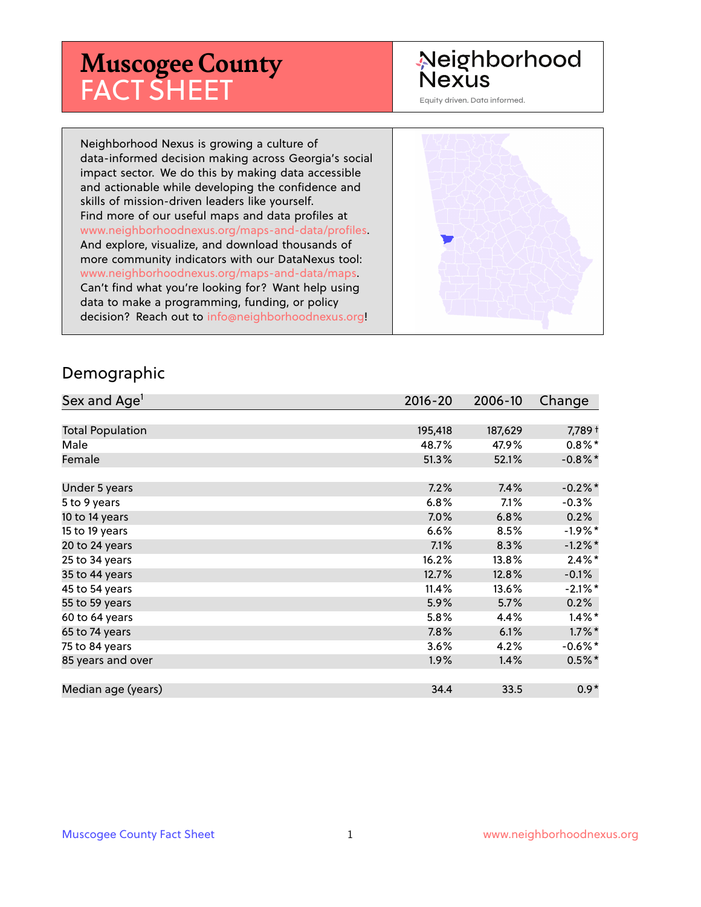# **Muscogee County** FACT SHEET

#### Neighborhood **Nexus**

Equity driven. Data informed.

Neighborhood Nexus is growing a culture of data-informed decision making across Georgia's social impact sector. We do this by making data accessible and actionable while developing the confidence and skills of mission-driven leaders like yourself. Find more of our useful maps and data profiles at www.neighborhoodnexus.org/maps-and-data/profiles. And explore, visualize, and download thousands of more community indicators with our DataNexus tool: www.neighborhoodnexus.org/maps-and-data/maps. Can't find what you're looking for? Want help using data to make a programming, funding, or policy decision? Reach out to [info@neighborhoodnexus.org!](mailto:info@neighborhoodnexus.org)



#### Demographic

| Sex and Age <sup>1</sup> | $2016 - 20$ | 2006-10 | Change     |
|--------------------------|-------------|---------|------------|
|                          |             |         |            |
| <b>Total Population</b>  | 195,418     | 187,629 | 7,789 +    |
| Male                     | 48.7%       | 47.9%   | $0.8\%$    |
| Female                   | 51.3%       | 52.1%   | $-0.8\%$ * |
|                          |             |         |            |
| Under 5 years            | 7.2%        | 7.4%    | $-0.2%$ *  |
| 5 to 9 years             | 6.8%        | 7.1%    | $-0.3%$    |
| 10 to 14 years           | 7.0%        | 6.8%    | 0.2%       |
| 15 to 19 years           | 6.6%        | 8.5%    | $-1.9\%$ * |
| 20 to 24 years           | 7.1%        | 8.3%    | $-1.2\%$ * |
| 25 to 34 years           | 16.2%       | 13.8%   | $2.4\%$ *  |
| 35 to 44 years           | 12.7%       | 12.8%   | $-0.1%$    |
| 45 to 54 years           | 11.4%       | 13.6%   | $-2.1\%$ * |
| 55 to 59 years           | 5.9%        | 5.7%    | 0.2%       |
| 60 to 64 years           | 5.8%        | 4.4%    | $1.4\%$ *  |
| 65 to 74 years           | 7.8%        | 6.1%    | $1.7\%$ *  |
| 75 to 84 years           | 3.6%        | 4.2%    | $-0.6\%$ * |
| 85 years and over        | $1.9\%$     | 1.4%    | $0.5\%$ *  |
|                          |             |         |            |
| Median age (years)       | 34.4        | 33.5    | $0.9*$     |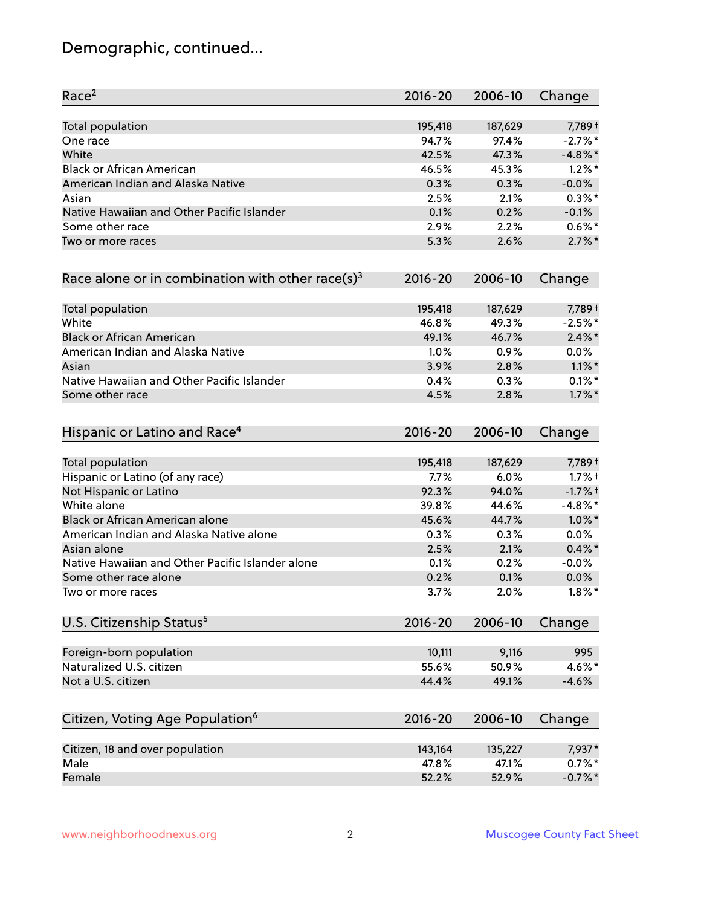# Demographic, continued...

| Race <sup>2</sup>                                            | $2016 - 20$ | 2006-10 | Change     |
|--------------------------------------------------------------|-------------|---------|------------|
| <b>Total population</b>                                      | 195,418     | 187,629 | 7,789 +    |
| One race                                                     | 94.7%       | 97.4%   | $-2.7%$ *  |
| White                                                        | 42.5%       | 47.3%   | $-4.8\%$ * |
| <b>Black or African American</b>                             | 46.5%       | 45.3%   | $1.2\%$ *  |
| American Indian and Alaska Native                            | 0.3%        | 0.3%    | $-0.0%$    |
| Asian                                                        | 2.5%        | 2.1%    | $0.3\%$ *  |
| Native Hawaiian and Other Pacific Islander                   | 0.1%        | 0.2%    | $-0.1%$    |
| Some other race                                              | 2.9%        | 2.2%    | $0.6\%$ *  |
| Two or more races                                            | 5.3%        | 2.6%    | $2.7\%$ *  |
| Race alone or in combination with other race(s) <sup>3</sup> | $2016 - 20$ | 2006-10 | Change     |
| Total population                                             | 195,418     | 187,629 | 7,789 +    |
| White                                                        | 46.8%       | 49.3%   | $-2.5%$ *  |
| <b>Black or African American</b>                             | 49.1%       | 46.7%   | $2.4\%$ *  |
| American Indian and Alaska Native                            | 1.0%        | 0.9%    | 0.0%       |
| Asian                                                        | 3.9%        | 2.8%    | $1.1\%$ *  |
| Native Hawaiian and Other Pacific Islander                   | 0.4%        | 0.3%    | $0.1\%$ *  |
| Some other race                                              | 4.5%        | 2.8%    | $1.7\%$ *  |
| Hispanic or Latino and Race <sup>4</sup>                     | $2016 - 20$ | 2006-10 | Change     |
| Total population                                             | 195,418     | 187,629 | 7,789 +    |
| Hispanic or Latino (of any race)                             | 7.7%        | 6.0%    | $1.7%$ †   |
| Not Hispanic or Latino                                       | 92.3%       | 94.0%   | $-1.7%$ +  |
| White alone                                                  | 39.8%       | 44.6%   | $-4.8\%$ * |
| Black or African American alone                              | 45.6%       | 44.7%   | $1.0\%$ *  |
| American Indian and Alaska Native alone                      | 0.3%        | 0.3%    | 0.0%       |
| Asian alone                                                  | 2.5%        | 2.1%    | $0.4\%$ *  |
| Native Hawaiian and Other Pacific Islander alone             | 0.1%        | 0.2%    | $-0.0%$    |
| Some other race alone                                        | 0.2%        | 0.1%    | $0.0\%$    |
| Two or more races                                            | 3.7%        | 2.0%    | $1.8\%$ *  |
| U.S. Citizenship Status <sup>5</sup>                         | $2016 - 20$ | 2006-10 | Change     |
| Foreign-born population                                      | 10,111      | 9,116   | 995        |
| Naturalized U.S. citizen                                     | 55.6%       | 50.9%   | 4.6%*      |
| Not a U.S. citizen                                           | 44.4%       | 49.1%   | $-4.6%$    |
| Citizen, Voting Age Population <sup>6</sup>                  | $2016 - 20$ | 2006-10 | Change     |
|                                                              |             |         |            |
| Citizen, 18 and over population                              | 143,164     | 135,227 | 7,937*     |
| Male                                                         | 47.8%       | 47.1%   | $0.7\%$ *  |
| Female                                                       | 52.2%       | 52.9%   | $-0.7%$ *  |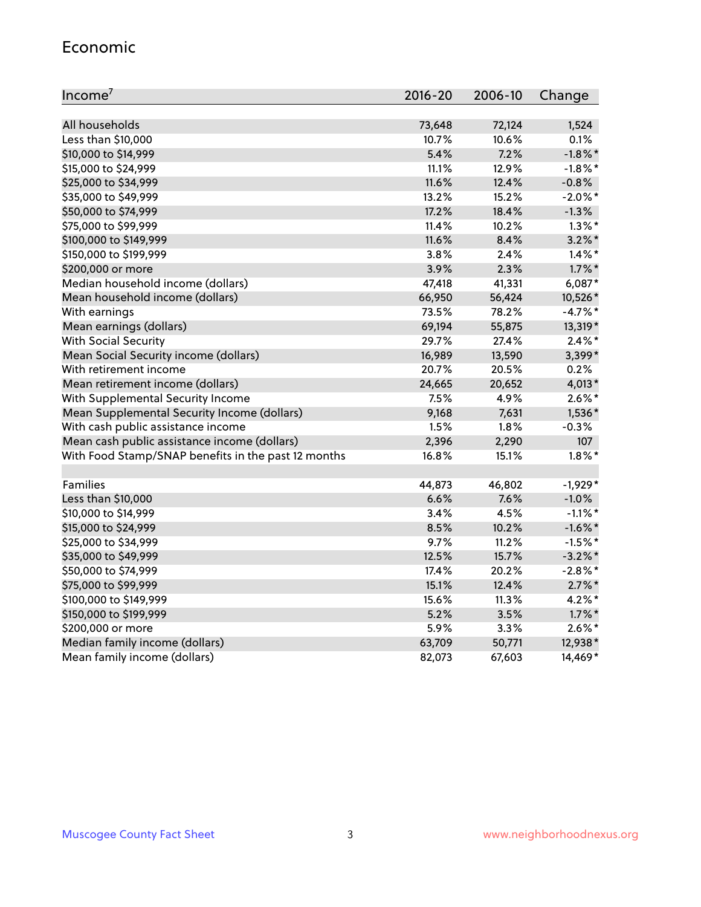#### Economic

| Income <sup>7</sup>                                 | $2016 - 20$ | 2006-10 | Change     |
|-----------------------------------------------------|-------------|---------|------------|
|                                                     |             |         |            |
| All households                                      | 73,648      | 72,124  | 1,524      |
| Less than \$10,000                                  | 10.7%       | 10.6%   | 0.1%       |
| \$10,000 to \$14,999                                | 5.4%        | 7.2%    | $-1.8\%$ * |
| \$15,000 to \$24,999                                | 11.1%       | 12.9%   | $-1.8\%$ * |
| \$25,000 to \$34,999                                | 11.6%       | 12.4%   | $-0.8%$    |
| \$35,000 to \$49,999                                | 13.2%       | 15.2%   | $-2.0\%$ * |
| \$50,000 to \$74,999                                | 17.2%       | 18.4%   | $-1.3%$    |
| \$75,000 to \$99,999                                | 11.4%       | 10.2%   | $1.3\%$ *  |
| \$100,000 to \$149,999                              | 11.6%       | 8.4%    | $3.2\%$ *  |
| \$150,000 to \$199,999                              | 3.8%        | 2.4%    | $1.4\%$ *  |
| \$200,000 or more                                   | 3.9%        | 2.3%    | $1.7\%$ *  |
| Median household income (dollars)                   | 47,418      | 41,331  | 6,087*     |
| Mean household income (dollars)                     | 66,950      | 56,424  | 10,526*    |
| With earnings                                       | 73.5%       | 78.2%   | $-4.7%$ *  |
| Mean earnings (dollars)                             | 69,194      | 55,875  | 13,319*    |
| <b>With Social Security</b>                         | 29.7%       | 27.4%   | $2.4\%$ *  |
| Mean Social Security income (dollars)               | 16,989      | 13,590  | 3,399*     |
| With retirement income                              | 20.7%       | 20.5%   | 0.2%       |
| Mean retirement income (dollars)                    | 24,665      | 20,652  | $4,013*$   |
| With Supplemental Security Income                   | $7.5\%$     | 4.9%    | $2.6\%$ *  |
| Mean Supplemental Security Income (dollars)         | 9,168       | 7,631   | 1,536*     |
| With cash public assistance income                  | 1.5%        | 1.8%    | $-0.3%$    |
| Mean cash public assistance income (dollars)        | 2,396       | 2,290   | 107        |
| With Food Stamp/SNAP benefits in the past 12 months | 16.8%       | 15.1%   | $1.8\%$ *  |
|                                                     |             |         |            |
| Families                                            | 44,873      | 46,802  | $-1,929*$  |
| Less than \$10,000                                  | 6.6%        | 7.6%    | $-1.0%$    |
| \$10,000 to \$14,999                                | 3.4%        | 4.5%    | $-1.1\%$ * |
| \$15,000 to \$24,999                                | 8.5%        | 10.2%   | $-1.6\%$ * |
| \$25,000 to \$34,999                                | 9.7%        | 11.2%   | $-1.5%$ *  |
| \$35,000 to \$49,999                                | 12.5%       | 15.7%   | $-3.2\%$ * |
| \$50,000 to \$74,999                                | 17.4%       | 20.2%   | $-2.8\%$ * |
| \$75,000 to \$99,999                                | 15.1%       | 12.4%   | $2.7\%$ *  |
| \$100,000 to \$149,999                              | 15.6%       | 11.3%   | $4.2\%$ *  |
| \$150,000 to \$199,999                              | 5.2%        | 3.5%    | $1.7\%$ *  |
| \$200,000 or more                                   | 5.9%        | 3.3%    | $2.6\%$ *  |
| Median family income (dollars)                      | 63,709      | 50,771  | 12,938*    |
| Mean family income (dollars)                        | 82,073      | 67,603  | 14,469*    |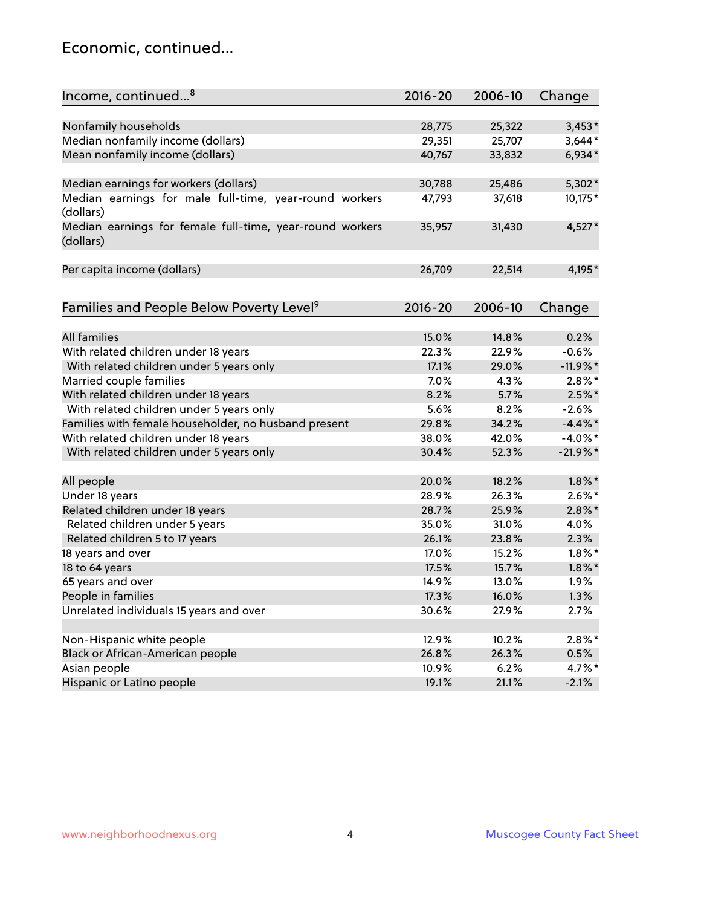#### Economic, continued...

| Income, continued <sup>8</sup>                                        | $2016 - 20$ | 2006-10 | Change     |
|-----------------------------------------------------------------------|-------------|---------|------------|
|                                                                       |             |         |            |
| Nonfamily households                                                  | 28,775      | 25,322  | $3,453*$   |
| Median nonfamily income (dollars)                                     | 29,351      | 25,707  | $3,644*$   |
| Mean nonfamily income (dollars)                                       | 40,767      | 33,832  | $6,934*$   |
| Median earnings for workers (dollars)                                 | 30,788      | 25,486  | 5,302*     |
| Median earnings for male full-time, year-round workers<br>(dollars)   | 47,793      | 37,618  | 10,175*    |
| Median earnings for female full-time, year-round workers<br>(dollars) | 35,957      | 31,430  | $4,527*$   |
| Per capita income (dollars)                                           | 26,709      | 22,514  | 4,195*     |
| Families and People Below Poverty Level <sup>9</sup>                  | 2016-20     | 2006-10 | Change     |
|                                                                       |             |         |            |
| <b>All families</b>                                                   | 15.0%       | 14.8%   | 0.2%       |
| With related children under 18 years                                  | 22.3%       | 22.9%   | $-0.6%$    |
| With related children under 5 years only                              | 17.1%       | 29.0%   | $-11.9%$ * |
| Married couple families                                               | 7.0%        | 4.3%    | $2.8\%$ *  |
| With related children under 18 years                                  | 8.2%        | 5.7%    | $2.5%$ *   |
| With related children under 5 years only                              | 5.6%        | 8.2%    | $-2.6%$    |
| Families with female householder, no husband present                  | 29.8%       | 34.2%   | $-4.4\%$ * |
| With related children under 18 years                                  | 38.0%       | 42.0%   | $-4.0\%$ * |
| With related children under 5 years only                              | 30.4%       | 52.3%   | $-21.9%$ * |
| All people                                                            | 20.0%       | 18.2%   | $1.8\%$ *  |
| Under 18 years                                                        | 28.9%       | 26.3%   | $2.6\%$ *  |
| Related children under 18 years                                       | 28.7%       | 25.9%   | $2.8\%$ *  |
| Related children under 5 years                                        | 35.0%       | 31.0%   | 4.0%       |
| Related children 5 to 17 years                                        | 26.1%       | 23.8%   | 2.3%       |
| 18 years and over                                                     | 17.0%       | 15.2%   | $1.8\%$ *  |
| 18 to 64 years                                                        | 17.5%       | 15.7%   | $1.8\%$ *  |
| 65 years and over                                                     | 14.9%       | 13.0%   | 1.9%       |
| People in families                                                    | 17.3%       | 16.0%   | 1.3%       |
| Unrelated individuals 15 years and over                               | 30.6%       | 27.9%   | 2.7%       |
|                                                                       |             |         |            |
| Non-Hispanic white people                                             | 12.9%       | 10.2%   | $2.8\%$ *  |
| Black or African-American people                                      | 26.8%       | 26.3%   | 0.5%       |
| Asian people                                                          | 10.9%       | 6.2%    | 4.7%*      |
| Hispanic or Latino people                                             | 19.1%       | 21.1%   | $-2.1%$    |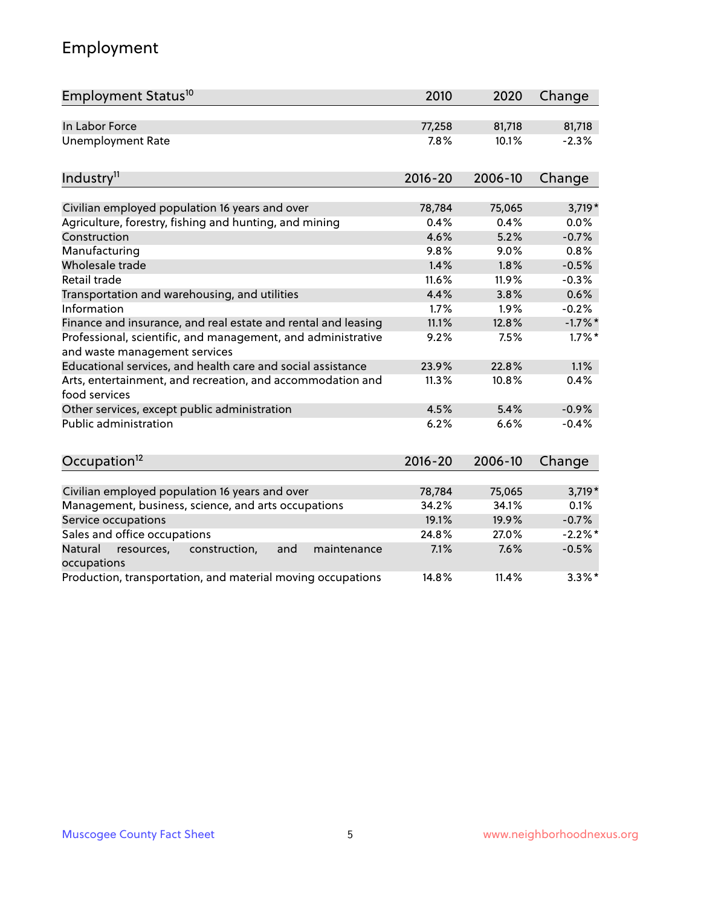# Employment

| Employment Status <sup>10</sup>                                                               | 2010        | 2020    | Change     |
|-----------------------------------------------------------------------------------------------|-------------|---------|------------|
| In Labor Force                                                                                | 77,258      | 81,718  | 81,718     |
| <b>Unemployment Rate</b>                                                                      | 7.8%        | 10.1%   | $-2.3%$    |
| Industry <sup>11</sup>                                                                        | $2016 - 20$ | 2006-10 | Change     |
| Civilian employed population 16 years and over                                                | 78,784      | 75,065  | $3,719*$   |
| Agriculture, forestry, fishing and hunting, and mining                                        | 0.4%        | 0.4%    | 0.0%       |
| Construction                                                                                  | 4.6%        | 5.2%    | $-0.7%$    |
| Manufacturing                                                                                 | 9.8%        | 9.0%    | 0.8%       |
| Wholesale trade                                                                               | 1.4%        | 1.8%    | $-0.5%$    |
| Retail trade                                                                                  | 11.6%       | 11.9%   | $-0.3%$    |
| Transportation and warehousing, and utilities                                                 | 4.4%        | 3.8%    | 0.6%       |
| Information                                                                                   | 1.7%        | 1.9%    | $-0.2%$    |
| Finance and insurance, and real estate and rental and leasing                                 | 11.1%       | 12.8%   | $-1.7\%$ * |
| Professional, scientific, and management, and administrative<br>and waste management services | 9.2%        | 7.5%    | $1.7\%$ *  |
| Educational services, and health care and social assistance                                   | 23.9%       | 22.8%   | 1.1%       |
| Arts, entertainment, and recreation, and accommodation and<br>food services                   | 11.3%       | 10.8%   | 0.4%       |
| Other services, except public administration                                                  | 4.5%        | 5.4%    | $-0.9%$    |
| <b>Public administration</b>                                                                  | 6.2%        | 6.6%    | $-0.4%$    |
| Occupation <sup>12</sup>                                                                      | $2016 - 20$ | 2006-10 | Change     |
|                                                                                               |             |         |            |
| Civilian employed population 16 years and over                                                | 78,784      | 75,065  | $3,719*$   |
| Management, business, science, and arts occupations                                           | 34.2%       | 34.1%   | 0.1%       |
| Service occupations                                                                           | 19.1%       | 19.9%   | $-0.7%$    |
| Sales and office occupations                                                                  | 24.8%       | 27.0%   | $-2.2%$ *  |
| Natural<br>construction,<br>and<br>maintenance<br>resources,<br>occupations                   | 7.1%        | 7.6%    | $-0.5%$    |
| Production, transportation, and material moving occupations                                   | 14.8%       | 11.4%   | $3.3\%$ *  |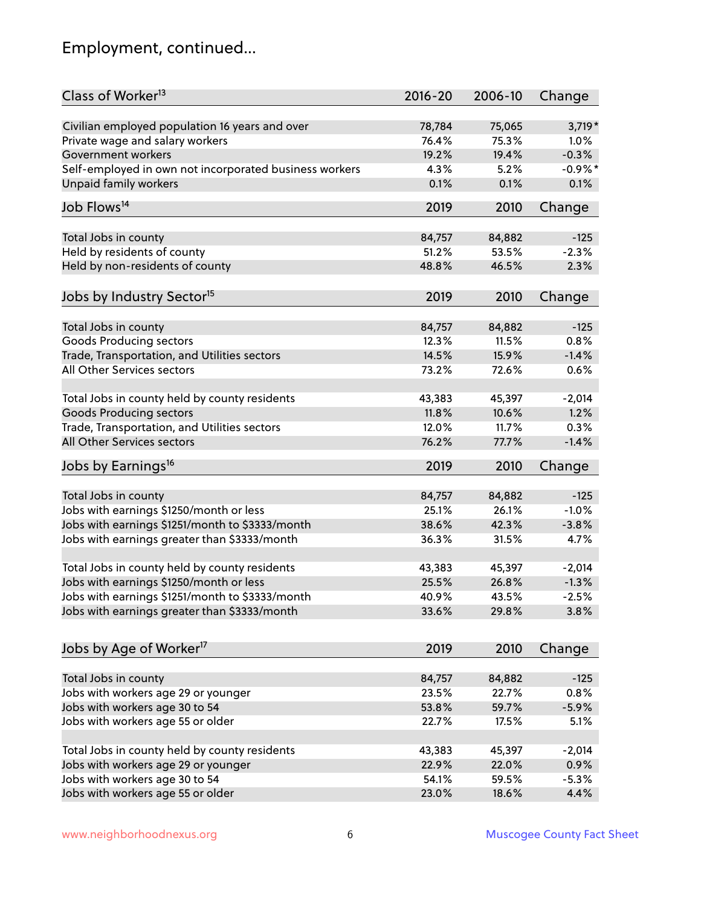# Employment, continued...

| Class of Worker <sup>13</sup>                          | $2016 - 20$ | 2006-10 | Change    |
|--------------------------------------------------------|-------------|---------|-----------|
| Civilian employed population 16 years and over         | 78,784      | 75,065  | $3,719*$  |
| Private wage and salary workers                        | 76.4%       | 75.3%   | 1.0%      |
| Government workers                                     | 19.2%       | 19.4%   | $-0.3%$   |
| Self-employed in own not incorporated business workers | 4.3%        | 5.2%    | $-0.9%$ * |
| Unpaid family workers                                  | 0.1%        | 0.1%    | 0.1%      |
| Job Flows <sup>14</sup>                                | 2019        | 2010    | Change    |
|                                                        |             |         |           |
| Total Jobs in county                                   | 84,757      | 84,882  | $-125$    |
| Held by residents of county                            | 51.2%       | 53.5%   | $-2.3%$   |
| Held by non-residents of county                        | 48.8%       | 46.5%   | 2.3%      |
| Jobs by Industry Sector <sup>15</sup>                  | 2019        | 2010    | Change    |
| Total Jobs in county                                   | 84,757      | 84,882  | $-125$    |
| Goods Producing sectors                                | 12.3%       | 11.5%   | 0.8%      |
| Trade, Transportation, and Utilities sectors           | 14.5%       | 15.9%   | $-1.4%$   |
| All Other Services sectors                             | 73.2%       | 72.6%   | 0.6%      |
|                                                        |             |         |           |
| Total Jobs in county held by county residents          | 43,383      | 45,397  | $-2,014$  |
| <b>Goods Producing sectors</b>                         | 11.8%       | 10.6%   | 1.2%      |
| Trade, Transportation, and Utilities sectors           | 12.0%       | 11.7%   | 0.3%      |
| All Other Services sectors                             | 76.2%       | 77.7%   | $-1.4%$   |
| Jobs by Earnings <sup>16</sup>                         | 2019        | 2010    | Change    |
|                                                        |             |         |           |
| Total Jobs in county                                   | 84,757      | 84,882  | $-125$    |
| Jobs with earnings \$1250/month or less                | 25.1%       | 26.1%   | $-1.0%$   |
| Jobs with earnings \$1251/month to \$3333/month        | 38.6%       | 42.3%   | $-3.8%$   |
| Jobs with earnings greater than \$3333/month           | 36.3%       | 31.5%   | 4.7%      |
| Total Jobs in county held by county residents          | 43,383      | 45,397  | $-2,014$  |
| Jobs with earnings \$1250/month or less                | 25.5%       | 26.8%   | $-1.3%$   |
| Jobs with earnings \$1251/month to \$3333/month        | 40.9%       | 43.5%   | $-2.5%$   |
| Jobs with earnings greater than \$3333/month           | 33.6%       | 29.8%   | 3.8%      |
| Jobs by Age of Worker <sup>17</sup>                    | 2019        | 2010    | Change    |
|                                                        |             |         |           |
| Total Jobs in county                                   | 84,757      | 84,882  | $-125$    |
| Jobs with workers age 29 or younger                    | 23.5%       | 22.7%   | 0.8%      |
| Jobs with workers age 30 to 54                         | 53.8%       | 59.7%   | $-5.9%$   |
| Jobs with workers age 55 or older                      | 22.7%       | 17.5%   | 5.1%      |
|                                                        |             |         |           |
| Total Jobs in county held by county residents          | 43,383      | 45,397  | $-2,014$  |
| Jobs with workers age 29 or younger                    | 22.9%       | 22.0%   | 0.9%      |
| Jobs with workers age 30 to 54                         | 54.1%       | 59.5%   | $-5.3%$   |
| Jobs with workers age 55 or older                      | 23.0%       | 18.6%   | 4.4%      |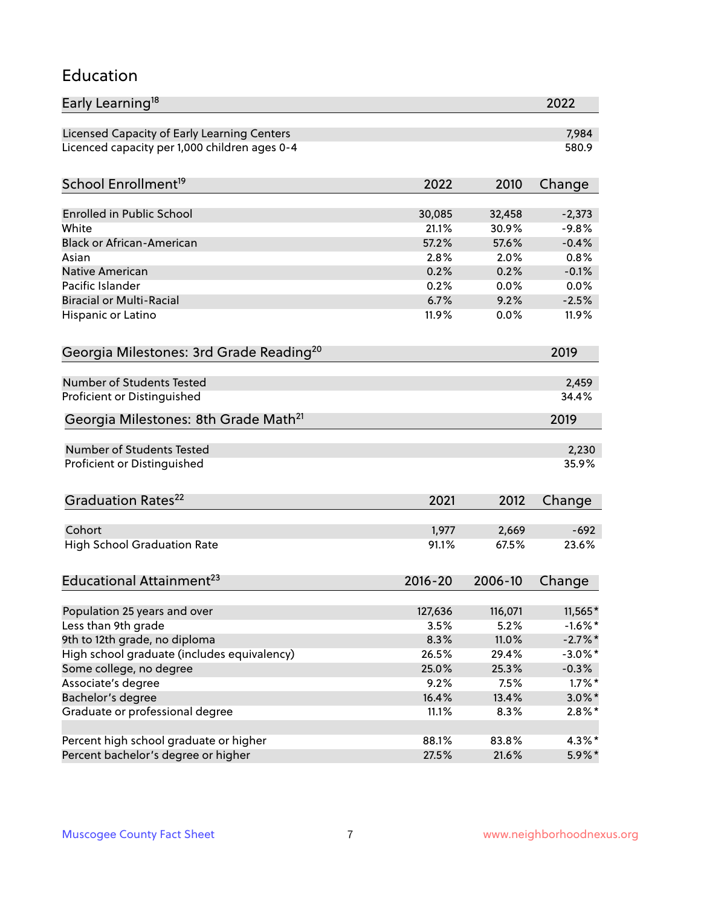#### Education

| Early Learning <sup>18</sup>                        |             |         | 2022       |
|-----------------------------------------------------|-------------|---------|------------|
| Licensed Capacity of Early Learning Centers         |             |         | 7,984      |
| Licenced capacity per 1,000 children ages 0-4       |             |         | 580.9      |
| School Enrollment <sup>19</sup>                     | 2022        | 2010    | Change     |
|                                                     |             |         |            |
| <b>Enrolled in Public School</b>                    | 30,085      | 32,458  | $-2,373$   |
| White                                               | 21.1%       | 30.9%   | $-9.8%$    |
| <b>Black or African-American</b>                    | 57.2%       | 57.6%   | $-0.4%$    |
| Asian                                               | 2.8%        | 2.0%    | 0.8%       |
| Native American                                     | 0.2%        | 0.2%    | $-0.1%$    |
| Pacific Islander                                    | 0.2%        | 0.0%    | 0.0%       |
| <b>Biracial or Multi-Racial</b>                     | 6.7%        | 9.2%    | $-2.5%$    |
| Hispanic or Latino                                  | 11.9%       | 0.0%    | 11.9%      |
| Georgia Milestones: 3rd Grade Reading <sup>20</sup> |             |         | 2019       |
|                                                     |             |         |            |
| Number of Students Tested                           |             |         | 2,459      |
| Proficient or Distinguished                         |             |         | 34.4%      |
| Georgia Milestones: 8th Grade Math <sup>21</sup>    |             |         | 2019       |
| Number of Students Tested                           |             |         | 2,230      |
| Proficient or Distinguished                         |             |         | 35.9%      |
|                                                     |             |         |            |
| Graduation Rates <sup>22</sup>                      | 2021        | 2012    | Change     |
|                                                     |             |         |            |
| Cohort                                              | 1,977       | 2,669   | $-692$     |
| <b>High School Graduation Rate</b>                  | 91.1%       | 67.5%   | 23.6%      |
| Educational Attainment <sup>23</sup>                | $2016 - 20$ | 2006-10 | Change     |
|                                                     |             |         |            |
| Population 25 years and over                        | 127,636     | 116,071 | 11,565*    |
| Less than 9th grade                                 | 3.5%        | 5.2%    | $-1.6%$ *  |
| 9th to 12th grade, no diploma                       | 8.3%        | 11.0%   | $-2.7\%$ * |
| High school graduate (includes equivalency)         | 26.5%       | 29.4%   | $-3.0\%$ * |
| Some college, no degree                             | 25.0%       | 25.3%   | $-0.3%$    |
| Associate's degree                                  | 9.2%        | 7.5%    | $1.7\%$ *  |
| Bachelor's degree                                   | 16.4%       | 13.4%   | $3.0\%$ *  |
| Graduate or professional degree                     | 11.1%       | 8.3%    | $2.8\%$ *  |
| Percent high school graduate or higher              | 88.1%       | 83.8%   | $4.3\%$ *  |
| Percent bachelor's degree or higher                 | 27.5%       | 21.6%   | 5.9%*      |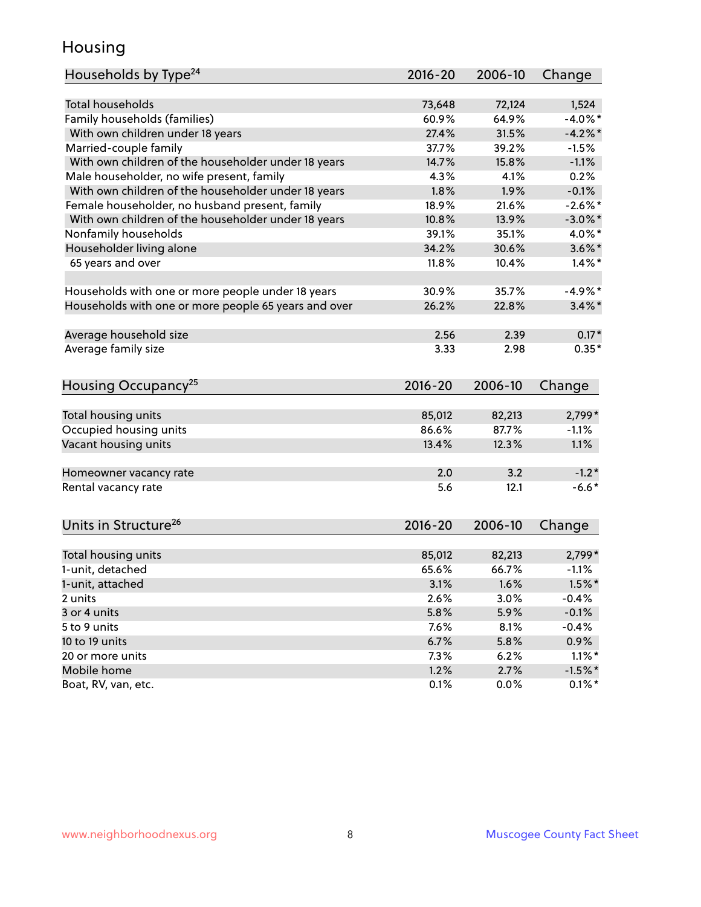#### Housing

| Households by Type <sup>24</sup>                     | 2016-20     | 2006-10 | Change               |
|------------------------------------------------------|-------------|---------|----------------------|
|                                                      |             |         |                      |
| Total households                                     | 73,648      | 72,124  | 1,524                |
| Family households (families)                         | 60.9%       | 64.9%   | $-4.0\%$ *           |
| With own children under 18 years                     | 27.4%       | 31.5%   | $-4.2%$              |
| Married-couple family                                | 37.7%       | 39.2%   | $-1.5%$              |
| With own children of the householder under 18 years  | 14.7%       | 15.8%   | $-1.1%$              |
| Male householder, no wife present, family            | 4.3%        | 4.1%    | 0.2%                 |
| With own children of the householder under 18 years  | 1.8%        | 1.9%    | $-0.1%$              |
| Female householder, no husband present, family       | 18.9%       | 21.6%   | $-2.6\%$ *           |
| With own children of the householder under 18 years  | 10.8%       | 13.9%   | $-3.0\%$ *           |
| Nonfamily households                                 | 39.1%       | 35.1%   | 4.0%*                |
| Householder living alone                             | 34.2%       | 30.6%   | $3.6\%$ *            |
| 65 years and over                                    | 11.8%       | 10.4%   | $1.4\%$ <sup>*</sup> |
|                                                      |             |         |                      |
| Households with one or more people under 18 years    | 30.9%       | 35.7%   | $-4.9%$              |
| Households with one or more people 65 years and over | 26.2%       | 22.8%   | $3.4\%$ *            |
| Average household size                               | 2.56        | 2.39    | $0.17*$              |
| Average family size                                  | 3.33        | 2.98    | $0.35*$              |
|                                                      |             |         |                      |
| Housing Occupancy <sup>25</sup>                      | $2016 - 20$ | 2006-10 | Change               |
|                                                      |             |         |                      |
| Total housing units                                  | 85,012      | 82,213  | 2,799*               |
| Occupied housing units                               | 86.6%       | 87.7%   | $-1.1%$              |
| Vacant housing units                                 | 13.4%       | 12.3%   | 1.1%                 |
| Homeowner vacancy rate                               | 2.0         | 3.2     | $-1.2*$              |
| Rental vacancy rate                                  | 5.6         | 12.1    | $-6.6*$              |
|                                                      |             |         |                      |
| Units in Structure <sup>26</sup>                     | $2016 - 20$ | 2006-10 | Change               |
| Total housing units                                  | 85,012      | 82,213  | $2,799*$             |
| 1-unit, detached                                     | 65.6%       | 66.7%   | $-1.1%$              |
|                                                      |             |         |                      |
| 1-unit, attached                                     | 3.1%        | 1.6%    | $1.5\%$ *            |
| 2 units                                              | 2.6%        | 3.0%    | $-0.4%$              |
| 3 or 4 units                                         | 5.8%        | 5.9%    | $-0.1%$              |
| 5 to 9 units                                         | 7.6%        | 8.1%    | $-0.4%$              |
| 10 to 19 units                                       | 6.7%        | 5.8%    | 0.9%                 |
| 20 or more units                                     | 7.3%        | 6.2%    | $1.1\%$ *            |
| Mobile home                                          | 1.2%        | 2.7%    | $-1.5%$ *            |
| Boat, RV, van, etc.                                  | 0.1%        | 0.0%    | $0.1\%$ *            |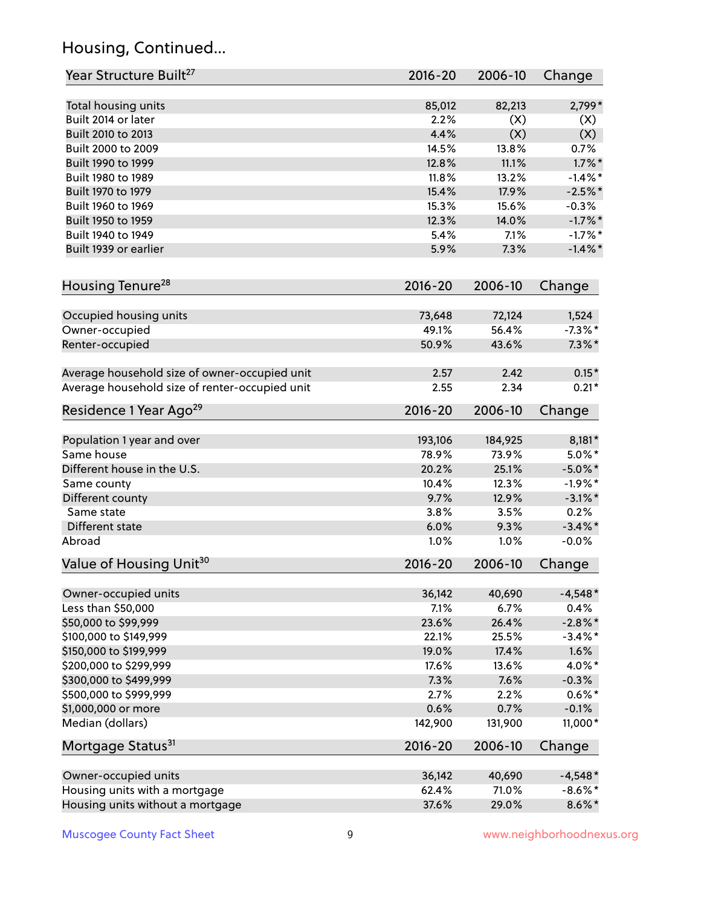# Housing, Continued...

| Year Structure Built <sup>27</sup>             | 2016-20     | 2006-10 | Change     |
|------------------------------------------------|-------------|---------|------------|
| Total housing units                            | 85,012      | 82,213  | 2,799*     |
| Built 2014 or later                            | 2.2%        | (X)     | (X)        |
| Built 2010 to 2013                             | 4.4%        | (X)     | (X)        |
| Built 2000 to 2009                             | 14.5%       | 13.8%   | 0.7%       |
| Built 1990 to 1999                             | 12.8%       | 11.1%   | $1.7\%$ *  |
| Built 1980 to 1989                             | 11.8%       | 13.2%   | $-1.4\%$ * |
| Built 1970 to 1979                             | 15.4%       | 17.9%   | $-2.5%$ *  |
| Built 1960 to 1969                             | 15.3%       | 15.6%   | $-0.3%$    |
| Built 1950 to 1959                             | 12.3%       | 14.0%   | $-1.7\%$ * |
| Built 1940 to 1949                             | 5.4%        | 7.1%    | $-1.7\%$ * |
| Built 1939 or earlier                          | 5.9%        | 7.3%    | $-1.4\%$ * |
| Housing Tenure <sup>28</sup>                   | $2016 - 20$ | 2006-10 | Change     |
| Occupied housing units                         | 73,648      | 72,124  | 1,524      |
| Owner-occupied                                 | 49.1%       | 56.4%   | $-7.3\%$ * |
| Renter-occupied                                | 50.9%       | 43.6%   | $7.3\%$ *  |
| Average household size of owner-occupied unit  | 2.57        | 2.42    | $0.15*$    |
| Average household size of renter-occupied unit | 2.55        | 2.34    | $0.21*$    |
| Residence 1 Year Ago <sup>29</sup>             | 2016-20     | 2006-10 | Change     |
| Population 1 year and over                     | 193,106     | 184,925 | $8,181*$   |
| Same house                                     | 78.9%       | 73.9%   | $5.0\%$ *  |
| Different house in the U.S.                    | 20.2%       | 25.1%   | $-5.0\%$ * |
| Same county                                    | 10.4%       | 12.3%   | $-1.9%$ *  |
| Different county                               | 9.7%        | 12.9%   | $-3.1\%$ * |
| Same state                                     | 3.8%        | 3.5%    | 0.2%       |
| Different state                                | 6.0%        | 9.3%    | $-3.4\%$ * |
| Abroad                                         | 1.0%        | 1.0%    | $-0.0%$    |
| Value of Housing Unit <sup>30</sup>            | $2016 - 20$ | 2006-10 | Change     |
| Owner-occupied units                           | 36,142      | 40,690  | $-4,548*$  |
| Less than \$50,000                             | 7.1%        | 6.7%    | 0.4%       |
| \$50,000 to \$99,999                           | 23.6%       | 26.4%   | $-2.8\%$ * |
| \$100,000 to \$149,999                         | 22.1%       | 25.5%   | $-3.4\%$ * |
| \$150,000 to \$199,999                         | 19.0%       | 17.4%   | 1.6%       |
| \$200,000 to \$299,999                         | 17.6%       | 13.6%   | 4.0%*      |
| \$300,000 to \$499,999                         | 7.3%        | 7.6%    | $-0.3%$    |
| \$500,000 to \$999,999                         | 2.7%        | 2.2%    | $0.6\%*$   |
| \$1,000,000 or more                            | 0.6%        | 0.7%    | $-0.1%$    |
| Median (dollars)                               | 142,900     | 131,900 | 11,000*    |
| Mortgage Status <sup>31</sup>                  | $2016 - 20$ | 2006-10 | Change     |
| Owner-occupied units                           | 36,142      | 40,690  | $-4,548*$  |
| Housing units with a mortgage                  | 62.4%       | 71.0%   | $-8.6\%$ * |
| Housing units without a mortgage               | 37.6%       | 29.0%   | $8.6\%$ *  |
|                                                |             |         |            |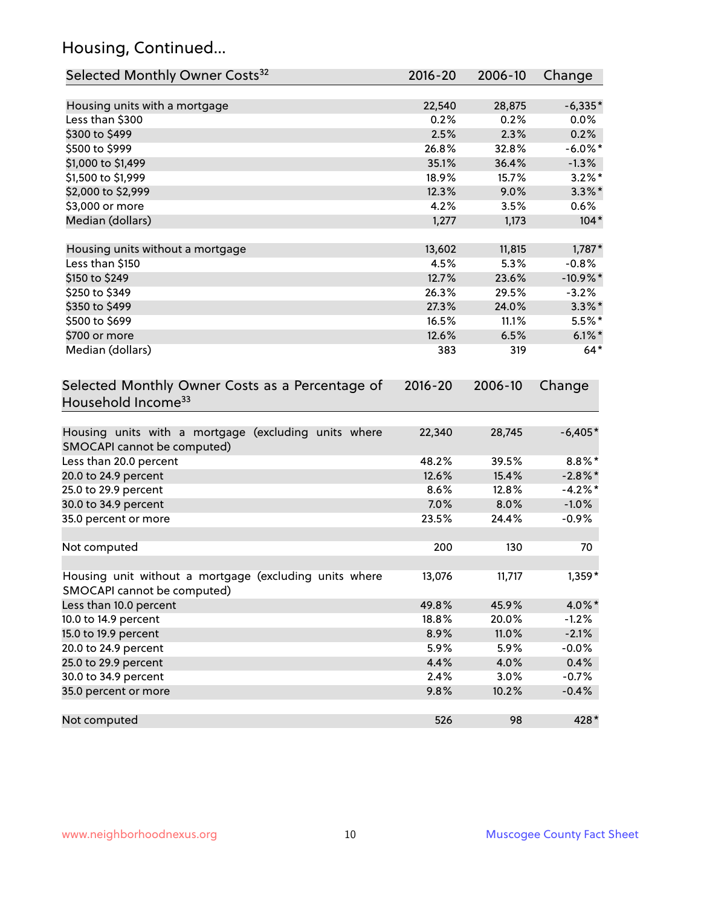# Housing, Continued...

| Selected Monthly Owner Costs <sup>32</sup>                                            | $2016 - 20$ | 2006-10 | Change      |
|---------------------------------------------------------------------------------------|-------------|---------|-------------|
| Housing units with a mortgage                                                         | 22,540      | 28,875  | $-6,335*$   |
| Less than \$300                                                                       | 0.2%        | 0.2%    | $0.0\%$     |
| \$300 to \$499                                                                        | 2.5%        | 2.3%    | 0.2%        |
| \$500 to \$999                                                                        | 26.8%       | 32.8%   | $-6.0\%$ *  |
| \$1,000 to \$1,499                                                                    | 35.1%       | 36.4%   | $-1.3%$     |
| \$1,500 to \$1,999                                                                    | 18.9%       | 15.7%   | $3.2\%$ *   |
| \$2,000 to \$2,999                                                                    | 12.3%       | 9.0%    | $3.3\%$ *   |
| \$3,000 or more                                                                       | 4.2%        | 3.5%    | 0.6%        |
| Median (dollars)                                                                      | 1,277       | 1,173   | $104*$      |
| Housing units without a mortgage                                                      | 13,602      | 11,815  | $1,787*$    |
| Less than \$150                                                                       | 4.5%        | 5.3%    | $-0.8%$     |
| \$150 to \$249                                                                        | 12.7%       | 23.6%   | $-10.9\%$ * |
| \$250 to \$349                                                                        | 26.3%       | 29.5%   | $-3.2%$     |
| \$350 to \$499                                                                        | 27.3%       | 24.0%   | $3.3\%$ *   |
| \$500 to \$699                                                                        | 16.5%       | 11.1%   | $5.5\%$ *   |
| \$700 or more                                                                         | 12.6%       | 6.5%    | $6.1\%$ *   |
| Median (dollars)                                                                      | 383         | 319     | $64*$       |
| Selected Monthly Owner Costs as a Percentage of<br>Household Income <sup>33</sup>     | $2016 - 20$ | 2006-10 | Change      |
| Housing units with a mortgage (excluding units where<br>SMOCAPI cannot be computed)   | 22,340      | 28,745  | $-6,405*$   |
| Less than 20.0 percent                                                                | 48.2%       | 39.5%   | $8.8\%$ *   |
| 20.0 to 24.9 percent                                                                  | 12.6%       | 15.4%   | $-2.8\%$ *  |
| 25.0 to 29.9 percent                                                                  | 8.6%        | 12.8%   | $-4.2\%$ *  |
| 30.0 to 34.9 percent                                                                  | 7.0%        | 8.0%    | $-1.0%$     |
| 35.0 percent or more                                                                  | 23.5%       | 24.4%   | $-0.9%$     |
| Not computed                                                                          | 200         | 130     | 70          |
| Housing unit without a mortgage (excluding units where<br>SMOCAPI cannot be computed) | 13,076      | 11,717  | 1,359*      |
| Less than 10.0 percent                                                                | 49.8%       | 45.9%   | 4.0%*       |
| 10.0 to 14.9 percent                                                                  | 18.8%       | 20.0%   | $-1.2%$     |
| 15.0 to 19.9 percent                                                                  | 8.9%        | 11.0%   | $-2.1%$     |
| 20.0 to 24.9 percent                                                                  | 5.9%        | 5.9%    | $-0.0%$     |
| 25.0 to 29.9 percent                                                                  | 4.4%        | 4.0%    | 0.4%        |
| 30.0 to 34.9 percent                                                                  | 2.4%        | 3.0%    | $-0.7%$     |
| 35.0 percent or more                                                                  | 9.8%        | 10.2%   | $-0.4%$     |
| Not computed                                                                          | 526         | 98      | 428*        |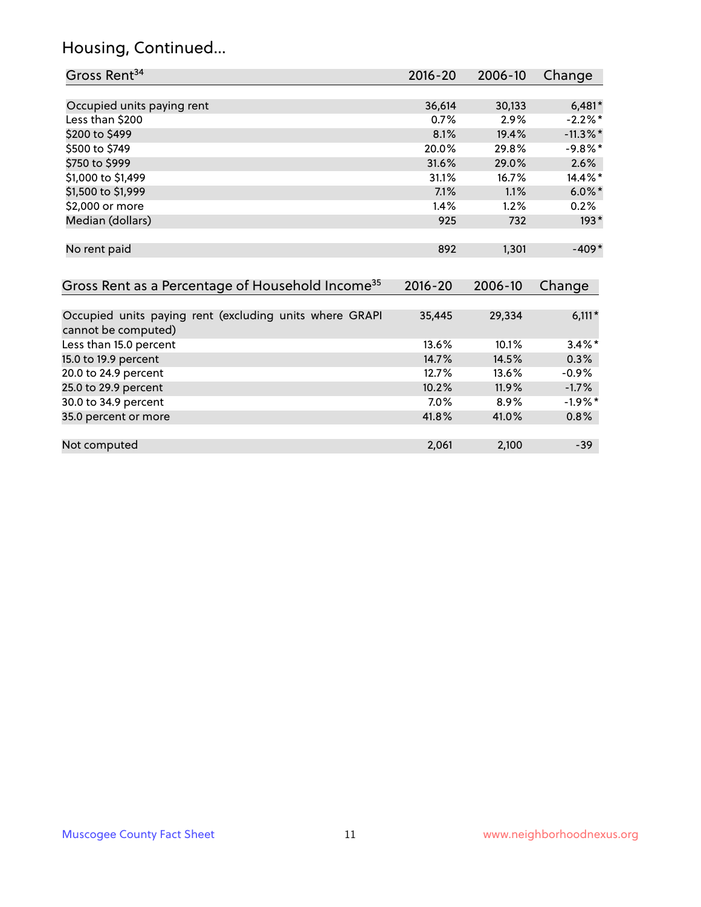# Housing, Continued...

| Gross Rent <sup>34</sup>                                                       | 2016-20     | 2006-10 | Change      |
|--------------------------------------------------------------------------------|-------------|---------|-------------|
|                                                                                |             |         |             |
| Occupied units paying rent                                                     | 36,614      | 30,133  | $6,481*$    |
| Less than \$200                                                                | 0.7%        | 2.9%    | $-2.2%$ *   |
| \$200 to \$499                                                                 | 8.1%        | 19.4%   | $-11.3\%$ * |
| \$500 to \$749                                                                 | 20.0%       | 29.8%   | $-9.8\%$ *  |
| \$750 to \$999                                                                 | 31.6%       | 29.0%   | 2.6%        |
| \$1,000 to \$1,499                                                             | 31.1%       | 16.7%   | 14.4%*      |
| \$1,500 to \$1,999                                                             | 7.1%        | 1.1%    | $6.0\%$ *   |
| \$2,000 or more                                                                | 1.4%        | 1.2%    | 0.2%        |
| Median (dollars)                                                               | 925         | 732     | $193*$      |
| No rent paid                                                                   | 892         | 1,301   | $-409*$     |
| Gross Rent as a Percentage of Household Income <sup>35</sup>                   | $2016 - 20$ | 2006-10 | Change      |
| Occupied units paying rent (excluding units where GRAPI<br>cannot be computed) | 35,445      | 29,334  | $6,111*$    |
| Less than 15.0 percent                                                         | 13.6%       | 10.1%   | $3.4\%$ *   |
| 15.0 to 19.9 percent                                                           | 14.7%       | 14.5%   | 0.3%        |
| 20.0 to 24.9 percent                                                           | 12.7%       | 13.6%   | $-0.9%$     |
| 25.0 to 29.9 percent                                                           | 10.2%       | 11.9%   | $-1.7%$     |
| 30.0 to 34.9 percent                                                           | 7.0%        | 8.9%    | $-1.9\%$ *  |
| 35.0 percent or more                                                           | 41.8%       | 41.0%   | 0.8%        |
| Not computed                                                                   | 2,061       | 2,100   | $-39$       |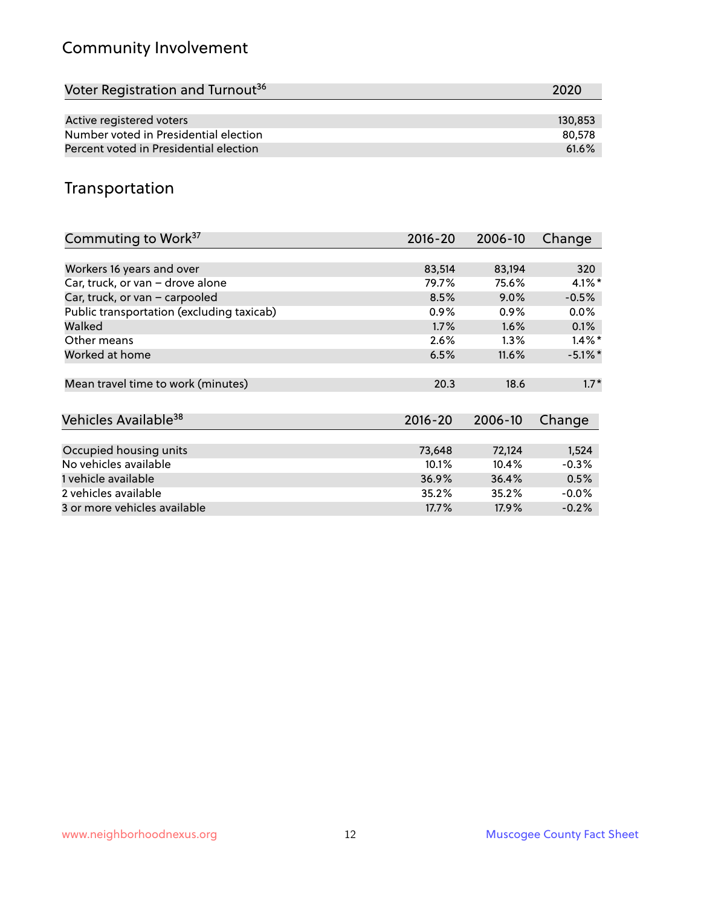# Community Involvement

| Voter Registration and Turnout <sup>36</sup> | 2020    |
|----------------------------------------------|---------|
|                                              |         |
| Active registered voters                     | 130.853 |
| Number voted in Presidential election        | 80,578  |
| Percent voted in Presidential election       | 61.6%   |

#### Transportation

| Commuting to Work <sup>37</sup>           | 2016-20     | 2006-10 | Change     |
|-------------------------------------------|-------------|---------|------------|
|                                           |             |         |            |
| Workers 16 years and over                 | 83,514      | 83,194  | 320        |
| Car, truck, or van - drove alone          | 79.7%       | 75.6%   | $4.1\%$ *  |
| Car, truck, or van - carpooled            | 8.5%        | $9.0\%$ | $-0.5%$    |
| Public transportation (excluding taxicab) | 0.9%        | $0.9\%$ | 0.0%       |
| Walked                                    | 1.7%        | 1.6%    | 0.1%       |
| Other means                               | 2.6%        | $1.3\%$ | $1.4\%$ *  |
| Worked at home                            | 6.5%        | 11.6%   | $-5.1\%$ * |
| Mean travel time to work (minutes)        | 20.3        | 18.6    | $1.7*$     |
| Vehicles Available <sup>38</sup>          | $2016 - 20$ | 2006-10 | Change     |
| Occupied housing units                    | 73,648      | 72,124  | 1,524      |
| No vehicles available                     | 10.1%       | 10.4%   | $-0.3%$    |
| 1 vehicle available                       | 36.9%       | 36.4%   | 0.5%       |
| 2 vehicles available                      | 35.2%       | 35.2%   | $-0.0\%$   |
| 3 or more vehicles available              | 17.7%       | 17.9%   | $-0.2%$    |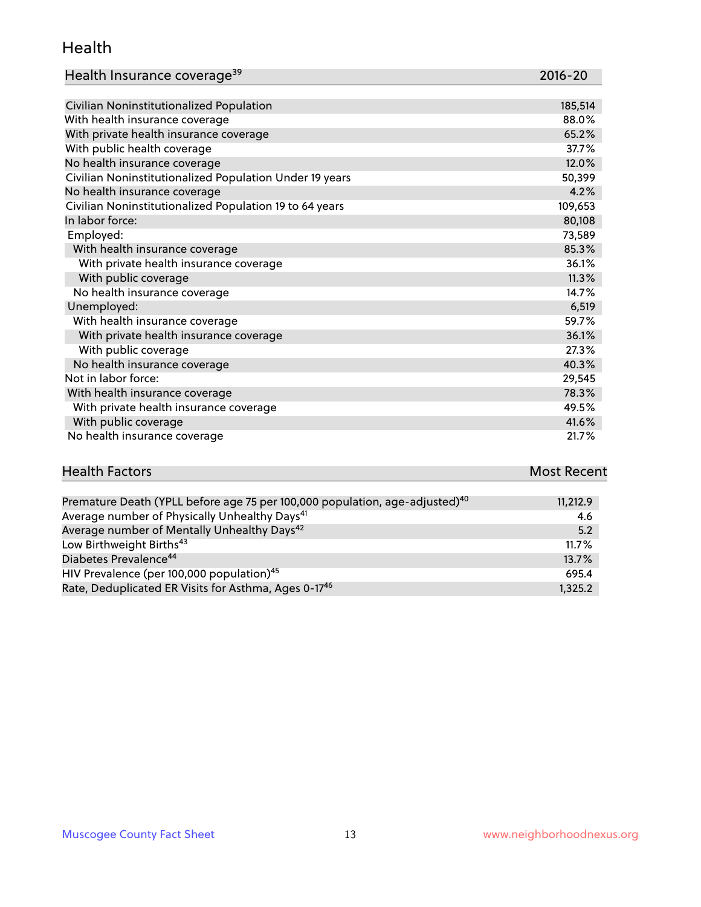#### Health

| Health Insurance coverage <sup>39</sup> | 2016-20 |
|-----------------------------------------|---------|
|-----------------------------------------|---------|

| Civilian Noninstitutionalized Population                | 185,514 |
|---------------------------------------------------------|---------|
| With health insurance coverage                          | 88.0%   |
| With private health insurance coverage                  | 65.2%   |
| With public health coverage                             | 37.7%   |
| No health insurance coverage                            | 12.0%   |
| Civilian Noninstitutionalized Population Under 19 years | 50,399  |
| No health insurance coverage                            | 4.2%    |
| Civilian Noninstitutionalized Population 19 to 64 years | 109,653 |
| In labor force:                                         | 80,108  |
| Employed:                                               | 73,589  |
| With health insurance coverage                          | 85.3%   |
| With private health insurance coverage                  | 36.1%   |
| With public coverage                                    | 11.3%   |
| No health insurance coverage                            | 14.7%   |
| Unemployed:                                             | 6,519   |
| With health insurance coverage                          | 59.7%   |
| With private health insurance coverage                  | 36.1%   |
| With public coverage                                    | 27.3%   |
| No health insurance coverage                            | 40.3%   |
| Not in labor force:                                     | 29,545  |
| With health insurance coverage                          | 78.3%   |
| With private health insurance coverage                  | 49.5%   |
| With public coverage                                    | 41.6%   |
| No health insurance coverage                            | 21.7%   |

# **Health Factors Most Recent** And The Control of the Control of The Control of The Control of The Control of The Control of The Control of The Control of The Control of The Control of The Control of The Control of The Contr

| Premature Death (YPLL before age 75 per 100,000 population, age-adjusted) <sup>40</sup> | 11,212.9 |
|-----------------------------------------------------------------------------------------|----------|
| Average number of Physically Unhealthy Days <sup>41</sup>                               | 4.6      |
| Average number of Mentally Unhealthy Days <sup>42</sup>                                 | 5.2      |
| Low Birthweight Births <sup>43</sup>                                                    | 11.7%    |
| Diabetes Prevalence <sup>44</sup>                                                       | 13.7%    |
| HIV Prevalence (per 100,000 population) <sup>45</sup>                                   | 695.4    |
| Rate, Deduplicated ER Visits for Asthma, Ages 0-17 <sup>46</sup>                        | 1.325.2  |